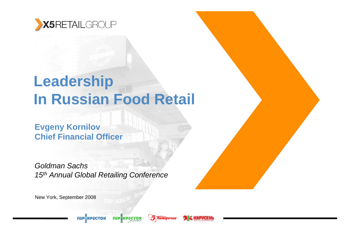

# **Leadership In Russian Food Retail**

**Evgeny Kornilov Chief Financial Officer**

*Goldman Sachs 15th Annual Global Retailing Conference*

п≡р≣кр≡сток

**ПЕРЕКРЕСТОК** 

New York, September 2008



**5 Пятёрочка**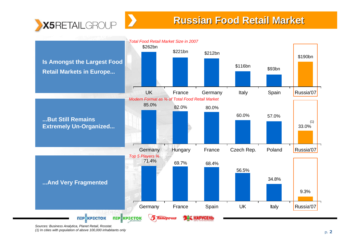

## **Russian Food Retail Market Russian Food Retail Market**



*Sources: Business Analytica, Planet Retail, Rosstat. (1) In cities with population of above 100,000 inhabitants only*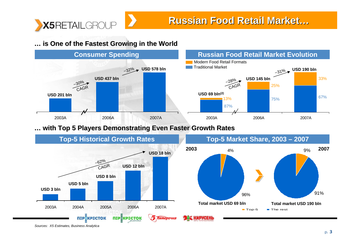

# **Russian Food Retail Market Russian Food Retail Market …**

### **… is One of the Fastest Growing in the World is One of the Fastest in the World**



### **Russian Food Retail Market Evolution**



### **… with Top 5 Players Demonstrating Even Faster Growth Rates with Top 5 Players Demonstrating Even Faster Growth Rates**



*Sources: X5 Estimates, Business Analytica*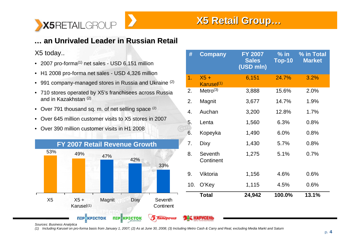

**… an Unrivaled Leader in Russian Retail an Unrivaled Leader in Russian Retail**

X5 today..

- 2007 pro-forma $^{(1)}$  net sales USD 6,151 million
- H1 2008 pro-forma net sales USD 4,326 million
- 991 company-managed stores in Russia and Ukraine (2)
- 710 stores operated by X5's franchisees across Russia and in Kazakhstan (2)
- Over 791 thousand sq. m. of net selling space <sup>(2)</sup>
- Over 645 million customer visits to X5 stores in 2007
- Over 390 million customer visits in H1 2008



| #   | <b>Company</b>                   | <b>FY 2007</b><br><b>Sales</b><br>(USD mln) | $%$ in<br><b>Top-10</b> | % in Total<br><b>Market</b> |
|-----|----------------------------------|---------------------------------------------|-------------------------|-----------------------------|
| 1   | $X5 +$<br>Karusel <sup>(1)</sup> | 6,151                                       | 24.7%                   | 3.2%                        |
| 2.  | Metro <sup>(3)</sup>             | 3,888                                       | 15.6%                   | 2.0%                        |
| 2.  | Magnit                           | 3,677                                       | 14.7%                   | 1.9%                        |
| 4.  | Auchan                           | 3,200                                       | 12.8%                   | 1.7%                        |
| 5.  | Lenta                            | 1,560                                       | 6.3%                    | 0.8%                        |
| 6.  | Kopeyka                          | 1,490                                       | 6.0%                    | 0.8%                        |
| 7.  | <b>Dixy</b>                      | 1,430                                       | 5.7%                    | 0.8%                        |
| 8.  | Seventh<br>Continent             | 1,275                                       | 5.1%                    | 0.7%                        |
| 9.  | Viktoria                         | 1,156                                       | 4.6%                    | 0.6%                        |
| 10. | O'Key                            | 1,115                                       | 4.5%                    | 0.6%                        |
|     | <b>Total</b>                     | 24,942                                      | 100.0%                  | 13.1%                       |

*Sources: Business Analytica*

*(1) Including Karusel on pro-forma basis from January 1, 2007; (2) As at June 30, 2008; (3) Including Metro Cash & Carry and Real, excluding Media Markt and Saturn*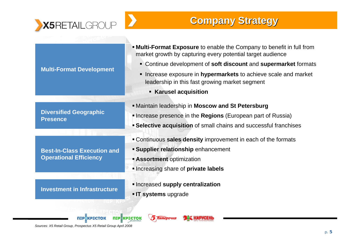

# **Company Strategy Company Strategy**

|                                                  | <b>• Multi-Format Exposure</b> to enable the Company to benefit in full from<br>market growth by capturing every potential target audience |  |
|--------------------------------------------------|--------------------------------------------------------------------------------------------------------------------------------------------|--|
|                                                  | • Continue development of soft discount and supermarket formats                                                                            |  |
| <b>Multi-Format Development</b>                  | • Increase exposure in hypermarkets to achieve scale and market<br>leadership in this fast growing market segment                          |  |
|                                                  | <b>Karusel acquisition</b>                                                                                                                 |  |
|                                                  | <b>■ Maintain leadership in Moscow and St Petersburg</b>                                                                                   |  |
| <b>Diversified Geographic</b><br><b>Presence</b> | Increase presence in the Regions (European part of Russia)                                                                                 |  |
|                                                  | <b>Selective acquisition</b> of small chains and successful franchises                                                                     |  |
|                                                  | • Continuous sales density improvement in each of the formats                                                                              |  |
| <b>Best-In-Class Execution and</b>               | <b>Supplier relationship enhancement</b>                                                                                                   |  |
| <b>Operational Efficiency</b>                    | <b>Assortment optimization</b>                                                                                                             |  |
|                                                  | Increasing share of private labels                                                                                                         |  |
|                                                  | <b>Increased supply centralization</b>                                                                                                     |  |
| <b>Investment in Infrastructure</b>              | - IT systems upgrade                                                                                                                       |  |
|                                                  |                                                                                                                                            |  |
|                                                  |                                                                                                                                            |  |
| <b>TTEPEKPECTOK</b>                              |                                                                                                                                            |  |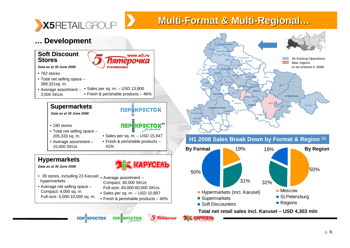

# **Multi-Format & Multi-Regional...**



#### **Soft Discount Soft DiscountStores**

*Data as at 30 June 2008*

- 762 stores
- Total net selling space 389,321sq. m.
- Average assortment 3,500 SKUs • Sales per sq. m. – USD 13,800 • Fresh & perishable products – 46%
	-

### **Supermarkets Supermarkets**

*Data as at 30 June 2008*

- 190 stores
- Total net selling space 205,333 sq. m.
- Average assortment 15,000 SKUs
- Sales per sq. m. USD 15,947 • Fresh & perishable products – 41%

www.e5.ru іёпочка

**YATEROCHKA** 

### **Hypermarkets Hypermarkets**

*Data as at 30 June 2008*

• 39 stores, including 23 Karusel • Average assortment – hypermarkets

ПЕРЁКРЕСТОК

- Average net selling space Compact: 4,000 sq. m. Full-size: 5,000-10,000 sq. m.
- **KAPYCEAL**

**NEPEKPECTOK** 

**TTEPEKPECTOK**<sup>26</sup>

zenenbur

**5 Пятёрочка** 

- Compact: 30,000 SKUs
	- Full-size: 40,000-60,000 SKUs • Sales per sq. m. – USD 10,897

**ПЕРЕКРЕСТОК** 

• Fresh & perishable products – 40%



**H1 2008 Sales Break Down by Format & Region (1)**



**HE KAPYGEAL**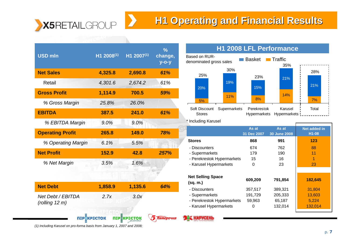

# **H1 Operating and Financial Results H1 Operating and Financial Results**

| <b>USD mln</b>                                                                                            | H1 2008(1) | H1 2007(1) | $\frac{0}{0}$<br>change,<br>$y$ -o-y |  |  |  |
|-----------------------------------------------------------------------------------------------------------|------------|------------|--------------------------------------|--|--|--|
| <b>Net Sales</b>                                                                                          | 4,325.8    | 2,690.8    | 61%                                  |  |  |  |
| Retail                                                                                                    | 4,301.6    | 2,674.2    | 61%                                  |  |  |  |
| <b>Gross Profit</b>                                                                                       | 1,114.9    | 700.5      | 59%                                  |  |  |  |
| % Gross Margin                                                                                            | 25.8%      | 26.0%      |                                      |  |  |  |
| <b>EBITDA</b>                                                                                             | 387.5      | 241.0      | 61%                                  |  |  |  |
| % EBITDA Margin                                                                                           | 9.0%       | 9.0%       |                                      |  |  |  |
| <b>Operating Profit</b>                                                                                   | 265.8      | 149.0      | 78%                                  |  |  |  |
| % Operating Margin                                                                                        | 6.1%       | 5.5%       |                                      |  |  |  |
| <b>Net Profit</b>                                                                                         | 152.9      | 42.8       | 257%                                 |  |  |  |
| % Net Margin                                                                                              | 3.5%       | 1.6%       |                                      |  |  |  |
|                                                                                                           |            | <b>IBC</b> |                                      |  |  |  |
| <b>Net Debt</b>                                                                                           | 1,858.9    | 1,135.6    | 64%                                  |  |  |  |
| Net Debt / EBITDA<br>(rolling $12 \, \text{m}$ )                                                          | 2.7x       | 3.0x       |                                      |  |  |  |
| ПЕРЁКРЕСТОК<br>∏∃P∃<br>тёрочка<br>(1) Including Karusel on pro-forma basis from January 1, 2007 and 2008; |            |            |                                      |  |  |  |

#### 7% 20% 19%15% 21%21% 5%11% 8% 14% Soft Discount Supermarkets Perekrestok Stores Hypermarkets Hypermarkets KaruselTotal25% 28% 23%30% Based on RUR-<br>denominated gross sales Basket Traffic 35%

**H1 2008 LFL Performance**

#### \* Including Karusel

**RIMPYCEAL** 

|                                      | As at<br>31 Dec 2007 | As at<br>30 June 2008 | Net added in<br>H1-08 |
|--------------------------------------|----------------------|-----------------------|-----------------------|
| <b>Stores</b>                        | 868                  | 991                   | 123                   |
| - Discounters                        | 674                  | 762                   | 88                    |
| - Supermarkets                       | 179                  | 190                   | 11                    |
| - Perekrestok Hypermarkets           | 15                   | 16                    | 1                     |
| - Karusel Hypermarkets               | $\Omega$             | 23                    | 23                    |
|                                      |                      |                       |                       |
| <b>Net Selling Space</b><br>(sq. m.) | 609,209              | 791,854               | 182,645               |
| - Discounters                        | 357,517              | 389,321               | 31,804                |
| - Supermarkets                       | 191,729              | 205,333               | 13,603                |
| - Perekrestok Hypermarkets           | 59,963               | 65,187                | 5,224                 |
| - Karusel Hypermarkets               | 0                    | 132,014               | 132,014               |

#### p. **7**